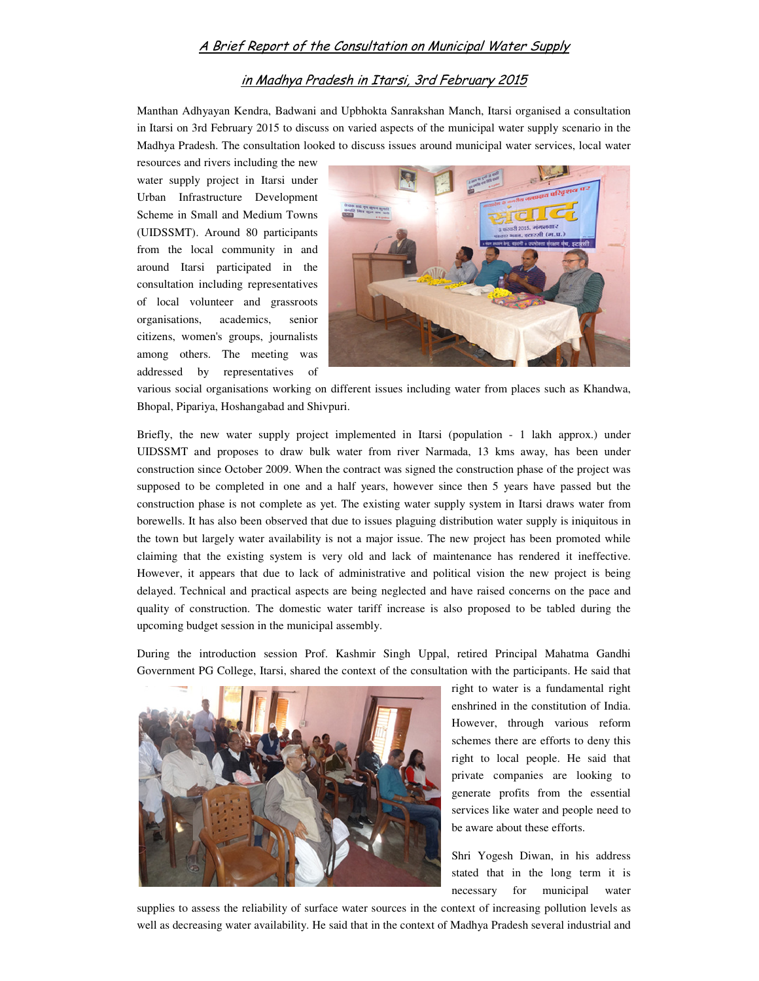## A Brief Report of the Consultation on Municipal Water Supply

## in Madhya Pradesh in Itarsi, 3rd February 2015

Manthan Adhyayan Kendra, Badwani and Upbhokta Sanrakshan Manch, Itarsi organised a consultation in Itarsi on 3rd February 2015 to discuss on varied aspects of the municipal water supply scenario in the Madhya Pradesh. The consultation looked to discuss issues around municipal water services, local water

resources and rivers including the new water supply project in Itarsi under Urban Infrastructure Development Scheme in Small and Medium Towns (UIDSSMT). Around 80 participants from the local community in and around Itarsi participated in the consultation including representatives of local volunteer and grassroots organisations, academics, senior citizens, women's groups, journalists among others. The meeting was addressed by representatives of



various social organisations working on different issues including water from places such as Khandwa, Bhopal, Pipariya, Hoshangabad and Shivpuri.

Briefly, the new water supply project implemented in Itarsi (population - 1 lakh approx.) under UIDSSMT and proposes to draw bulk water from river Narmada, 13 kms away, has been under construction since October 2009. When the contract was signed the construction phase of the project was supposed to be completed in one and a half years, however since then 5 years have passed but the construction phase is not complete as yet. The existing water supply system in Itarsi draws water from borewells. It has also been observed that due to issues plaguing distribution water supply is iniquitous in the town but largely water availability is not a major issue. The new project has been promoted while claiming that the existing system is very old and lack of maintenance has rendered it ineffective. However, it appears that due to lack of administrative and political vision the new project is being delayed. Technical and practical aspects are being neglected and have raised concerns on the pace and quality of construction. The domestic water tariff increase is also proposed to be tabled during the upcoming budget session in the municipal assembly.

During the introduction session Prof. Kashmir Singh Uppal, retired Principal Mahatma Gandhi Government PG College, Itarsi, shared the context of the consultation with the participants. He said that



right to water is a fundamental right enshrined in the constitution of India. However, through various reform schemes there are efforts to deny this right to local people. He said that private companies are looking to generate profits from the essential services like water and people need to be aware about these efforts.

Shri Yogesh Diwan, in his address stated that in the long term it is necessary for municipal water

supplies to assess the reliability of surface water sources in the context of increasing pollution levels as well as decreasing water availability. He said that in the context of Madhya Pradesh several industrial and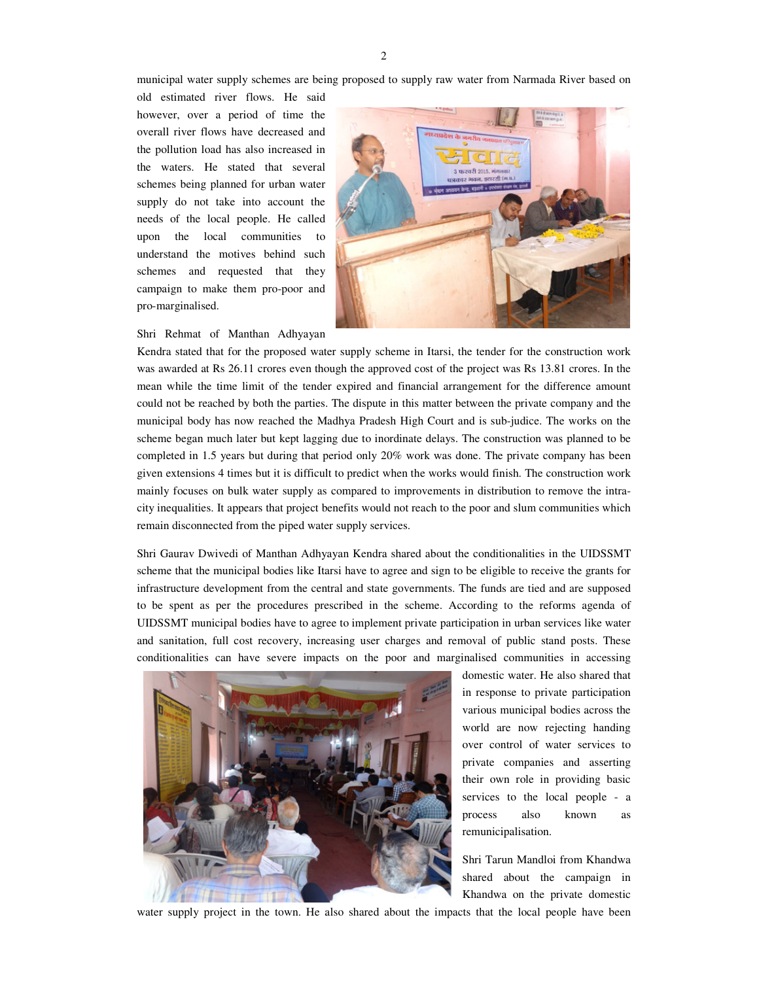municipal water supply schemes are being proposed to supply raw water from Narmada River based on

old estimated river flows. He said however, over a period of time the overall river flows have decreased and the pollution load has also increased in the waters. He stated that several schemes being planned for urban water supply do not take into account the needs of the local people. He called upon the local communities to understand the motives behind such schemes and requested that they campaign to make them pro-poor and pro-marginalised.

Shri Rehmat of Manthan Adhyayan



Kendra stated that for the proposed water supply scheme in Itarsi, the tender for the construction work was awarded at Rs 26.11 crores even though the approved cost of the project was Rs 13.81 crores. In the mean while the time limit of the tender expired and financial arrangement for the difference amount could not be reached by both the parties. The dispute in this matter between the private company and the municipal body has now reached the Madhya Pradesh High Court and is sub-judice. The works on the scheme began much later but kept lagging due to inordinate delays. The construction was planned to be completed in 1.5 years but during that period only 20% work was done. The private company has been given extensions 4 times but it is difficult to predict when the works would finish. The construction work mainly focuses on bulk water supply as compared to improvements in distribution to remove the intracity inequalities. It appears that project benefits would not reach to the poor and slum communities which remain disconnected from the piped water supply services.

Shri Gaurav Dwivedi of Manthan Adhyayan Kendra shared about the conditionalities in the UIDSSMT scheme that the municipal bodies like Itarsi have to agree and sign to be eligible to receive the grants for infrastructure development from the central and state governments. The funds are tied and are supposed to be spent as per the procedures prescribed in the scheme. According to the reforms agenda of UIDSSMT municipal bodies have to agree to implement private participation in urban services like water and sanitation, full cost recovery, increasing user charges and removal of public stand posts. These conditionalities can have severe impacts on the poor and marginalised communities in accessing



domestic water. He also shared that in response to private participation various municipal bodies across the world are now rejecting handing over control of water services to private companies and asserting their own role in providing basic services to the local people - a process also known as remunicipalisation.

Shri Tarun Mandloi from Khandwa shared about the campaign in Khandwa on the private domestic

water supply project in the town. He also shared about the impacts that the local people have been